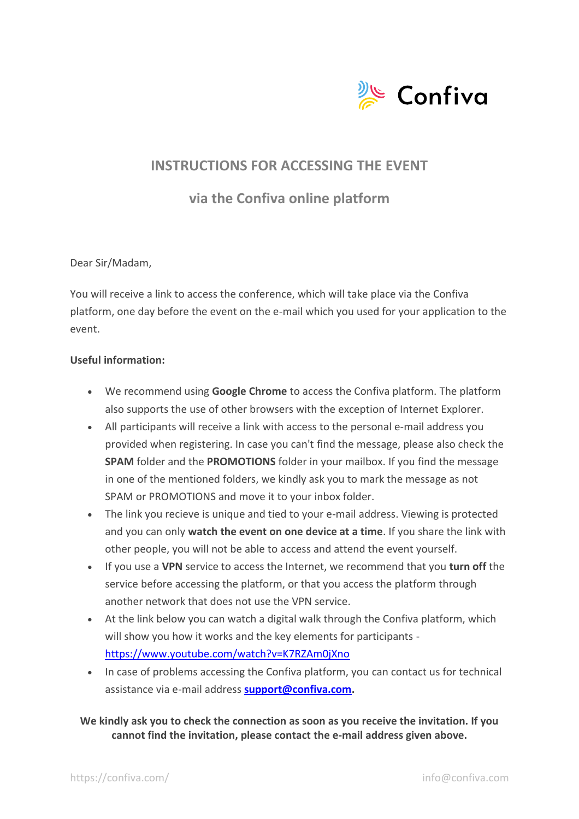

## **INSTRUCTIONS FOR ACCESSING THE EVENT**

**via the Confiva online platform**

## Dear Sir/Madam,

You will receive a link to access the conference, which will take place via the Confiva platform, one day before the event on the e-mail which you used for your application to the event.

## **Useful information:**

- We recommend using **Google Chrome** to access the Confiva platform. The platform also supports the use of other browsers with the exception of Internet Explorer.
- All participants will receive a link with access to the personal e-mail address you provided when registering. In case you can't find the message, please also check the **SPAM** folder and the **PROMOTIONS** folder in your mailbox. If you find the message in one of the mentioned folders, we kindly ask you to mark the message as not SPAM or PROMOTIONS and move it to your inbox folder.
- The link you recieve is unique and tied to your e-mail address. Viewing is protected and you can only **watch the event on one device at a time**. If you share the link with other people, you will not be able to access and attend the event yourself.
- If you use a **VPN** service to access the Internet, we recommend that you **turn off** the service before accessing the platform, or that you access the platform through another network that does not use the VPN service.
- At the link below you can watch a digital walk through the Confiva platform, which will show you how it works and the key elements for participants <https://www.youtube.com/watch?v=K7RZAm0jXno>
- In case of problems accessing the Confiva platform, you can contact us for technical assistance via e-mail address **[support@confiva.com.](mailto:support@confiva.com)**

## **We kindly ask you to check the connection as soon as you receive the invitation. If you cannot find the invitation, please contact the e-mail address given above.**